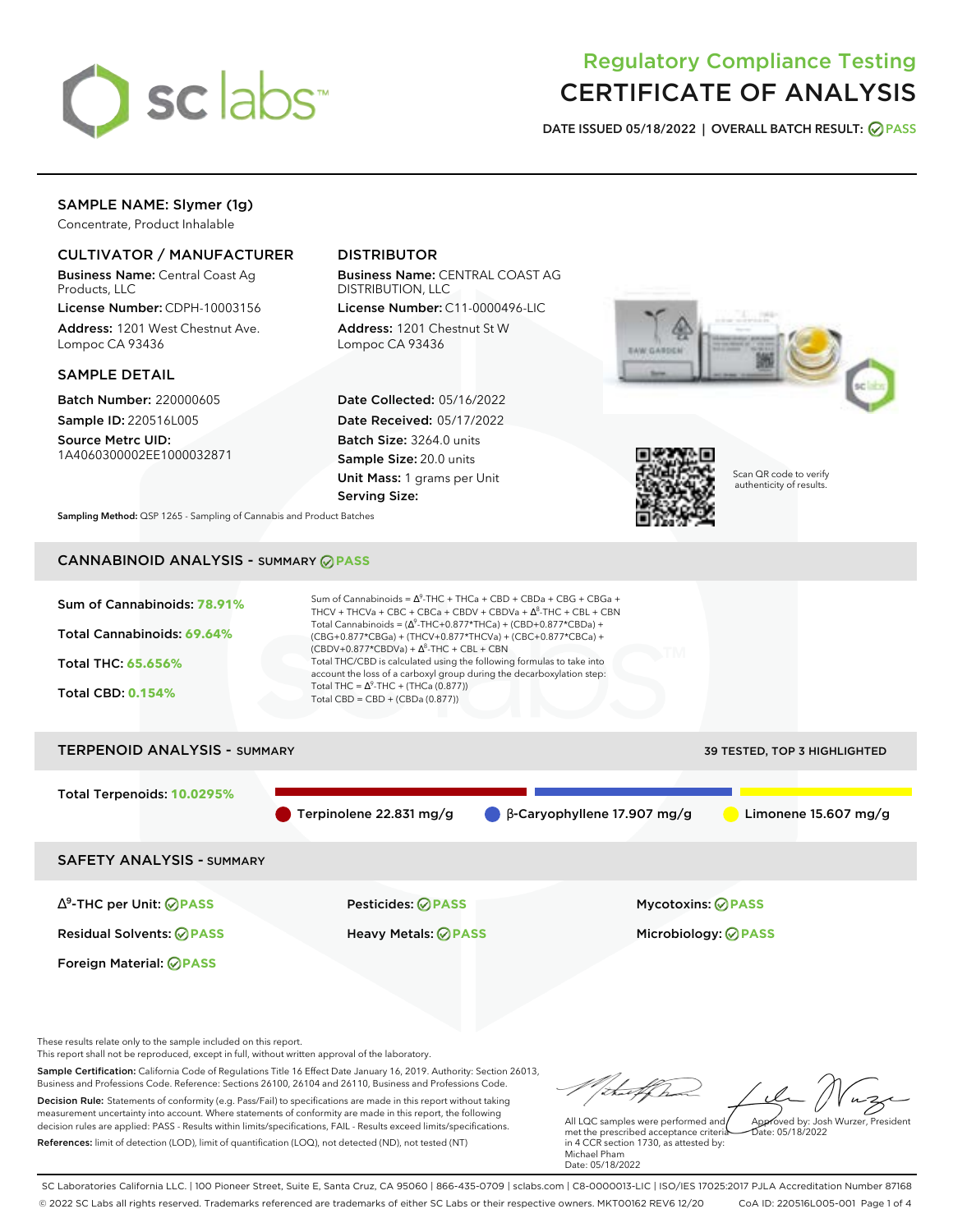

# Regulatory Compliance Testing CERTIFICATE OF ANALYSIS

**DATE ISSUED 05/18/2022 | OVERALL BATCH RESULT: PASS**

## SAMPLE NAME: Slymer (1g)

Concentrate, Product Inhalable

## CULTIVATOR / MANUFACTURER

Business Name: Central Coast Ag Products, LLC

License Number: CDPH-10003156 Address: 1201 West Chestnut Ave. Lompoc CA 93436

### SAMPLE DETAIL

Batch Number: 220000605 Sample ID: 220516L005

Source Metrc UID: 1A4060300002EE1000032871

# DISTRIBUTOR

Business Name: CENTRAL COAST AG DISTRIBUTION, LLC

License Number: C11-0000496-LIC Address: 1201 Chestnut St W Lompoc CA 93436

Date Collected: 05/16/2022 Date Received: 05/17/2022 Batch Size: 3264.0 units Sample Size: 20.0 units Unit Mass: 1 grams per Unit Serving Size:





Scan QR code to verify authenticity of results.

**Sampling Method:** QSP 1265 - Sampling of Cannabis and Product Batches

# CANNABINOID ANALYSIS - SUMMARY **PASS**



# TERPENOID ANALYSIS - SUMMARY 39 TESTED, TOP 3 HIGHLIGHTED Total Terpenoids: **10.0295%** Terpinolene 22.831 mg/g β-Caryophyllene 17.907 mg/g Limonene 15.607 mg/g SAFETY ANALYSIS - SUMMARY

∆ 9 -THC per Unit: **PASS** Pesticides: **PASS** Mycotoxins: **PASS**

Foreign Material: **PASS**

Residual Solvents: **PASS** Heavy Metals: **PASS** Microbiology: **PASS**

These results relate only to the sample included on this report.

This report shall not be reproduced, except in full, without written approval of the laboratory.

Sample Certification: California Code of Regulations Title 16 Effect Date January 16, 2019. Authority: Section 26013, Business and Professions Code. Reference: Sections 26100, 26104 and 26110, Business and Professions Code. Decision Rule: Statements of conformity (e.g. Pass/Fail) to specifications are made in this report without taking measurement uncertainty into account. Where statements of conformity are made in this report, the following decision rules are applied: PASS - Results within limits/specifications, FAIL - Results exceed limits/specifications.

References: limit of detection (LOD), limit of quantification (LOQ), not detected (ND), not tested (NT)

Approved by: Josh Wurzer, President

 $hat: 05/18/2022$ 

All LQC samples were performed and met the prescribed acceptance criteria in 4 CCR section 1730, as attested by: Michael Pham Date: 05/18/2022

SC Laboratories California LLC. | 100 Pioneer Street, Suite E, Santa Cruz, CA 95060 | 866-435-0709 | sclabs.com | C8-0000013-LIC | ISO/IES 17025:2017 PJLA Accreditation Number 87168 © 2022 SC Labs all rights reserved. Trademarks referenced are trademarks of either SC Labs or their respective owners. MKT00162 REV6 12/20 CoA ID: 220516L005-001 Page 1 of 4